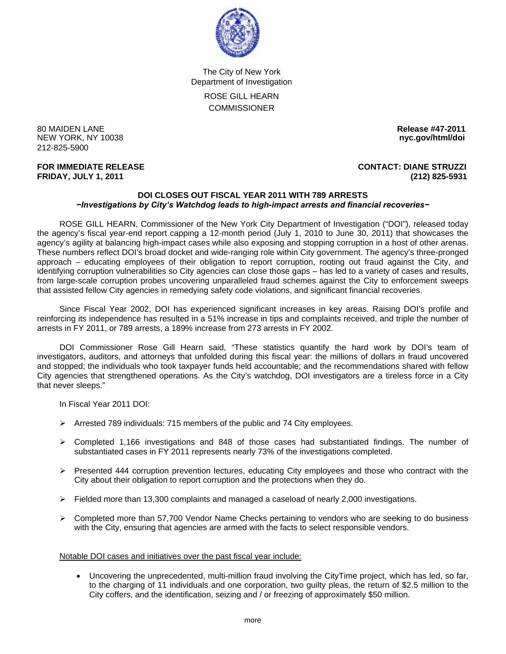

The City of New York Department of Investigation ROSE GILL HEARN **COMMISSIONER** 

80 MAIDEN LANE **Release #47-2011 NEW YORK, NY 10038** 212-825-5900

**FOR IMMEDIATE RELEASE CONTACT: DIANE STRUZZI FRIDAY, JULY 1, 2011 (212) 825-5931**

## **DOI CLOSES OUT FISCAL YEAR 2011 WITH 789 ARRESTS**  *−Investigations by City's Watchdog leads to high-impact arrests and financial recoveries−*

 ROSE GILL HEARN, Commissioner of the New York City Department of Investigation ("DOI"), released today the agency's fiscal year-end report capping a 12-month period (July 1, 2010 to June 30, 2011) that showcases the agency's agility at balancing high-impact cases while also exposing and stopping corruption in a host of other arenas. These numbers reflect DOI's broad docket and wide-ranging role within City government. The agency's three-pronged approach – educating employees of their obligation to report corruption, rooting out fraud against the City, and identifying corruption vulnerabilities so City agencies can close those gaps – has led to a variety of cases and results, from large-scale corruption probes uncovering unparalleled fraud schemes against the City to enforcement sweeps that assisted fellow City agencies in remedying safety code violations, and significant financial recoveries.

 Since Fiscal Year 2002, DOI has experienced significant increases in key areas. Raising DOI's profile and reinforcing its independence has resulted in a 51% increase in tips and complaints received, and triple the number of arrests in FY 2011, or 789 arrests, a 189% increase from 273 arrests in FY 2002.

 DOI Commissioner Rose Gill Hearn said, "These statistics quantify the hard work by DOI's team of investigators, auditors, and attorneys that unfolded during this fiscal year: the millions of dollars in fraud uncovered and stopped; the individuals who took taxpayer funds held accountable; and the recommendations shared with fellow City agencies that strengthened operations. As the City's watchdog, DOI investigators are a tireless force in a City that never sleeps."

In Fiscal Year 2011 DOI:

- $\triangleright$  Arrested 789 individuals: 715 members of the public and 74 City employees.
- $\triangleright$  Completed 1,166 investigations and 848 of those cases had substantiated findings. The number of substantiated cases in FY 2011 represents nearly 73% of the investigations completed.
- $\triangleright$  Presented 444 corruption prevention lectures, educating City employees and those who contract with the City about their obligation to report corruption and the protections when they do.
- $\triangleright$  Fielded more than 13,300 complaints and managed a caseload of nearly 2,000 investigations.
- $\triangleright$  Completed more than 57,700 Vendor Name Checks pertaining to vendors who are seeking to do business with the City, ensuring that agencies are armed with the facts to select responsible vendors.

## Notable DOI cases and initiatives over the past fiscal year include:

• Uncovering the unprecedented, multi-million fraud involving the CityTime project, which has led, so far, to the charging of 11 individuals and one corporation, two guilty pleas, the return of \$2.5 million to the City coffers, and the identification, seizing and / or freezing of approximately \$50 million.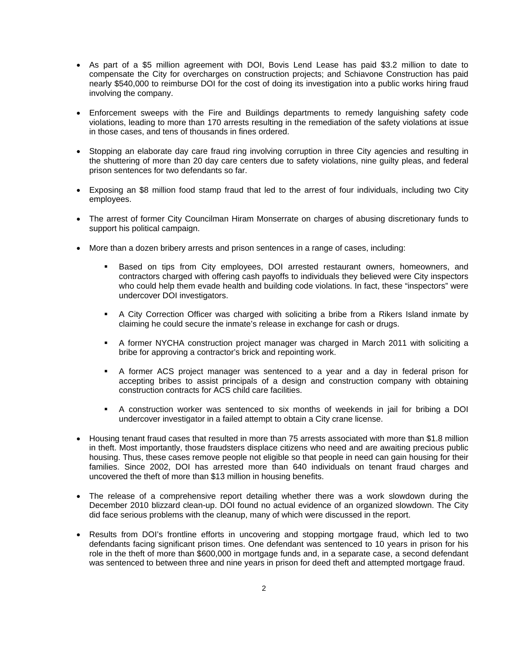- As part of a \$5 million agreement with DOI, Bovis Lend Lease has paid \$3.2 million to date to compensate the City for overcharges on construction projects; and Schiavone Construction has paid nearly \$540,000 to reimburse DOI for the cost of doing its investigation into a public works hiring fraud involving the company.
- Enforcement sweeps with the Fire and Buildings departments to remedy languishing safety code violations, leading to more than 170 arrests resulting in the remediation of the safety violations at issue in those cases, and tens of thousands in fines ordered.
- Stopping an elaborate day care fraud ring involving corruption in three City agencies and resulting in the shuttering of more than 20 day care centers due to safety violations, nine guilty pleas, and federal prison sentences for two defendants so far.
- Exposing an \$8 million food stamp fraud that led to the arrest of four individuals, including two City employees.
- The arrest of former City Councilman Hiram Monserrate on charges of abusing discretionary funds to support his political campaign.
- More than a dozen bribery arrests and prison sentences in a range of cases, including:
	- **Based on tips from City employees, DOI arrested restaurant owners, homeowners, and** contractors charged with offering cash payoffs to individuals they believed were City inspectors who could help them evade health and building code violations. In fact, these "inspectors" were undercover DOI investigators.
	- A City Correction Officer was charged with soliciting a bribe from a Rikers Island inmate by claiming he could secure the inmate's release in exchange for cash or drugs.
	- A former NYCHA construction project manager was charged in March 2011 with soliciting a bribe for approving a contractor's brick and repointing work.
	- A former ACS project manager was sentenced to a year and a day in federal prison for accepting bribes to assist principals of a design and construction company with obtaining construction contracts for ACS child care facilities.
	- A construction worker was sentenced to six months of weekends in jail for bribing a DOI undercover investigator in a failed attempt to obtain a City crane license.
- Housing tenant fraud cases that resulted in more than 75 arrests associated with more than \$1.8 million in theft. Most importantly, those fraudsters displace citizens who need and are awaiting precious public housing. Thus, these cases remove people not eligible so that people in need can gain housing for their families. Since 2002, DOI has arrested more than 640 individuals on tenant fraud charges and uncovered the theft of more than \$13 million in housing benefits.
- The release of a comprehensive report detailing whether there was a work slowdown during the December 2010 blizzard clean-up. DOI found no actual evidence of an organized slowdown. The City did face serious problems with the cleanup, many of which were discussed in the report.
- Results from DOI's frontline efforts in uncovering and stopping mortgage fraud, which led to two defendants facing significant prison times. One defendant was sentenced to 10 years in prison for his role in the theft of more than \$600,000 in mortgage funds and, in a separate case, a second defendant was sentenced to between three and nine years in prison for deed theft and attempted mortgage fraud.